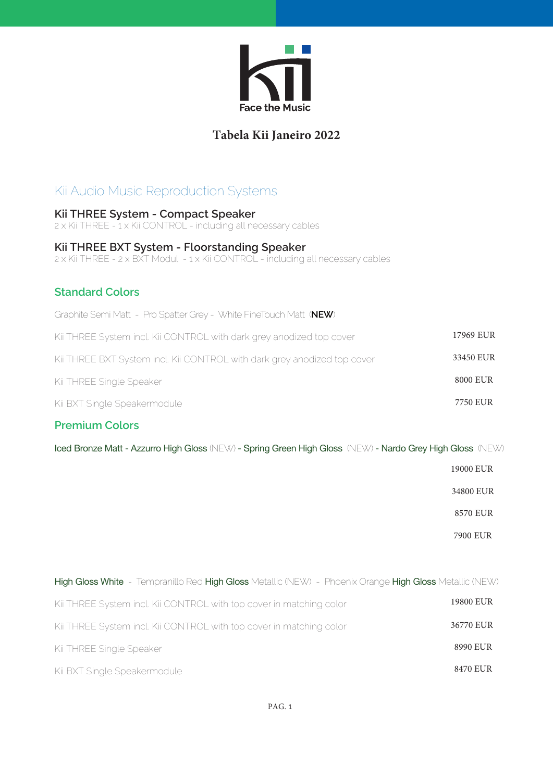

## **Tabela Kii Janeiro 2022**

# Kii Audio Music Reproduction Systems

**Kii THREE System - Compact Speaker** 2 x Kii THREE - 1 x Kii CONTROL - including all necessary cables

#### **Kii THREE BXT System - Floorstanding Speaker**

2 x Kii THREE - 2 x BXT Modul - 1 x Kii CONTROL - including all necessary cables

#### **Standard Colors**

| Graphite Semi Matt - Pro Spatter Grey - White FineTouch Matt (NEW)       |           |
|--------------------------------------------------------------------------|-----------|
| Kii THREE System incl. Kii CONTROL with dark grey anodized top cover     | 17969 EUR |
| Kii THREE BXT System incl. Kii CONTROL with dark grey anodized top cover | 33450 EUR |
| Kii THREE Single Speaker                                                 | 8000 EUR  |
| Kii BXT Single Speakermodule                                             | 7750 EUR  |

### **Premium Colors**

Iced Bronze Matt - Azzurro High Gloss (NEW) - Spring Green High Gloss (NEW) - Nardo Grey High Gloss (NEW)

19000 EUR

34800 EUR

8570 EUR

7900 EUR

| High Gloss White - Tempranillo Red High Gloss Metallic (NEW) - Phoenix Orange High Gloss Metallic (NEW) |           |
|---------------------------------------------------------------------------------------------------------|-----------|
| Kii THREE System incl. Kii CONTROL with top cover in matching color                                     | 19800 EUR |
| Kii THREE System incl. Kii CONTROL with top cover in matching color                                     | 36770 EUR |
| Kii THREE Single Speaker                                                                                | 8990 EUR  |
| Kii BXT Single Speakermodule                                                                            | 8470 EUR  |